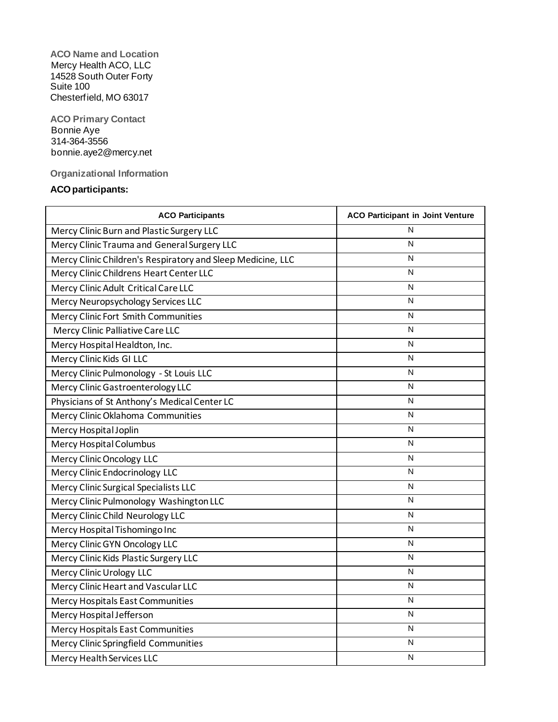**ACO Name and Location** Mercy Health ACO, LLC 14528 South Outer Forty Suite 100 Chesterfield, MO 63017

**ACO Primary Contact** Bonnie Aye 314-364-3556 bonnie.aye2@mercy.net

**Organizational Information**

## **ACOparticipants:**

| <b>ACO Participants</b>                                     | <b>ACO Participant in Joint Venture</b> |  |  |
|-------------------------------------------------------------|-----------------------------------------|--|--|
| Mercy Clinic Burn and Plastic Surgery LLC                   | N                                       |  |  |
| Mercy Clinic Trauma and General Surgery LLC                 | N                                       |  |  |
| Mercy Clinic Children's Respiratory and Sleep Medicine, LLC | N                                       |  |  |
| Mercy Clinic Childrens Heart Center LLC                     | N                                       |  |  |
| Mercy Clinic Adult Critical Care LLC                        | N                                       |  |  |
| Mercy Neuropsychology Services LLC                          | N                                       |  |  |
| Mercy Clinic Fort Smith Communities                         | N                                       |  |  |
| Mercy Clinic Palliative Care LLC                            | N                                       |  |  |
| Mercy Hospital Healdton, Inc.                               | N                                       |  |  |
| Mercy Clinic Kids GI LLC                                    | N                                       |  |  |
| Mercy Clinic Pulmonology - St Louis LLC                     | N                                       |  |  |
| Mercy Clinic Gastroenterology LLC                           | N                                       |  |  |
| Physicians of St Anthony's Medical Center LC                | N                                       |  |  |
| Mercy Clinic Oklahoma Communities                           | N                                       |  |  |
| Mercy Hospital Joplin                                       | N                                       |  |  |
| Mercy Hospital Columbus                                     | N                                       |  |  |
| Mercy Clinic Oncology LLC                                   | N                                       |  |  |
| Mercy Clinic Endocrinology LLC                              | N                                       |  |  |
| Mercy Clinic Surgical Specialists LLC                       | N                                       |  |  |
| N<br>Mercy Clinic Pulmonology Washington LLC                |                                         |  |  |
| Mercy Clinic Child Neurology LLC                            | N                                       |  |  |
| Mercy Hospital Tishomingo Inc                               | N                                       |  |  |
| Mercy Clinic GYN Oncology LLC                               | N                                       |  |  |
| Mercy Clinic Kids Plastic Surgery LLC                       | N                                       |  |  |
| Mercy Clinic Urology LLC                                    | N                                       |  |  |
| Mercy Clinic Heart and Vascular LLC                         | N                                       |  |  |
| Mercy Hospitals East Communities                            | N                                       |  |  |
| Mercy Hospital Jefferson                                    | N                                       |  |  |
| Mercy Hospitals East Communities                            | N                                       |  |  |
| Mercy Clinic Springfield Communities                        | N                                       |  |  |
| Mercy Health Services LLC                                   | N                                       |  |  |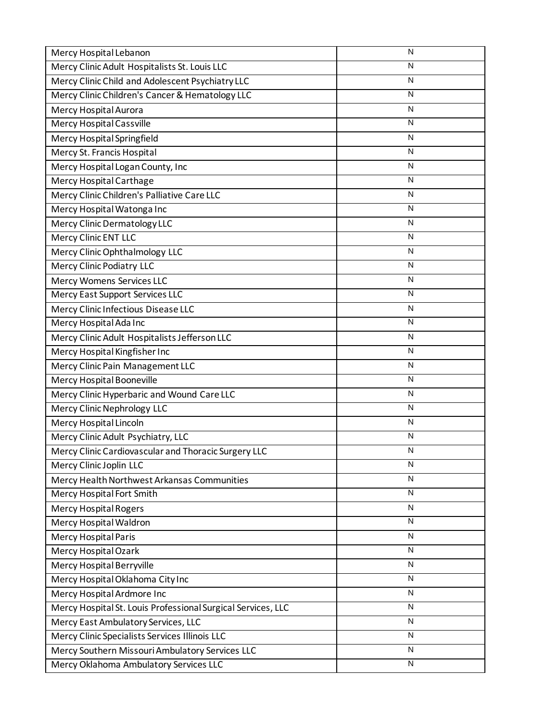| Mercy Hospital Lebanon                                       | N                       |
|--------------------------------------------------------------|-------------------------|
| Mercy Clinic Adult Hospitalists St. Louis LLC                | N                       |
| Mercy Clinic Child and Adolescent Psychiatry LLC             | N                       |
| Mercy Clinic Children's Cancer & Hematology LLC              | N                       |
| Mercy Hospital Aurora                                        | N                       |
| Mercy Hospital Cassville                                     | N                       |
| Mercy Hospital Springfield                                   | N                       |
| Mercy St. Francis Hospital                                   | N                       |
| Mercy Hospital Logan County, Inc                             | N                       |
| Mercy Hospital Carthage                                      | N                       |
| Mercy Clinic Children's Palliative Care LLC                  | N                       |
| Mercy Hospital Watonga Inc                                   | N                       |
| Mercy Clinic Dermatology LLC                                 | N                       |
| Mercy Clinic ENT LLC                                         | N                       |
| Mercy Clinic Ophthalmology LLC                               | N                       |
| <b>Mercy Clinic Podiatry LLC</b>                             | N                       |
| <b>Mercy Womens Services LLC</b>                             | N                       |
| Mercy East Support Services LLC                              | N                       |
| Mercy Clinic Infectious Disease LLC                          | N                       |
| Mercy Hospital Ada Inc                                       | N                       |
| Mercy Clinic Adult Hospitalists Jefferson LLC                | N                       |
| Mercy Hospital Kingfisher Inc                                | N                       |
| Mercy Clinic Pain Management LLC                             | N                       |
| Mercy Hospital Booneville                                    | N                       |
| Mercy Clinic Hyperbaric and Wound Care LLC                   | N                       |
| Mercy Clinic Nephrology LLC                                  | N                       |
| Mercy Hospital Lincoln                                       | N                       |
| Mercy Clinic Adult Psychiatry, LLC                           | N                       |
| Mercy Clinic Cardiovascular and Thoracic Surgery LLC         | N                       |
| Mercy Clinic Joplin LLC                                      | $\overline{\mathsf{N}}$ |
| Mercy Health Northwest Arkansas Communities                  | N                       |
| Mercy Hospital Fort Smith                                    | N                       |
| <b>Mercy Hospital Rogers</b>                                 | N                       |
| Mercy Hospital Waldron                                       | N                       |
| Mercy Hospital Paris                                         | N                       |
| Mercy Hospital Ozark                                         | N                       |
| Mercy Hospital Berryville                                    | N                       |
| Mercy Hospital Oklahoma City Inc                             | N                       |
| Mercy Hospital Ardmore Inc                                   | N                       |
| Mercy Hospital St. Louis Professional Surgical Services, LLC | N                       |
| Mercy East Ambulatory Services, LLC                          | N                       |
| Mercy Clinic Specialists Services Illinois LLC               | N                       |
| Mercy Southern Missouri Ambulatory Services LLC              | N                       |
| Mercy Oklahoma Ambulatory Services LLC                       | N                       |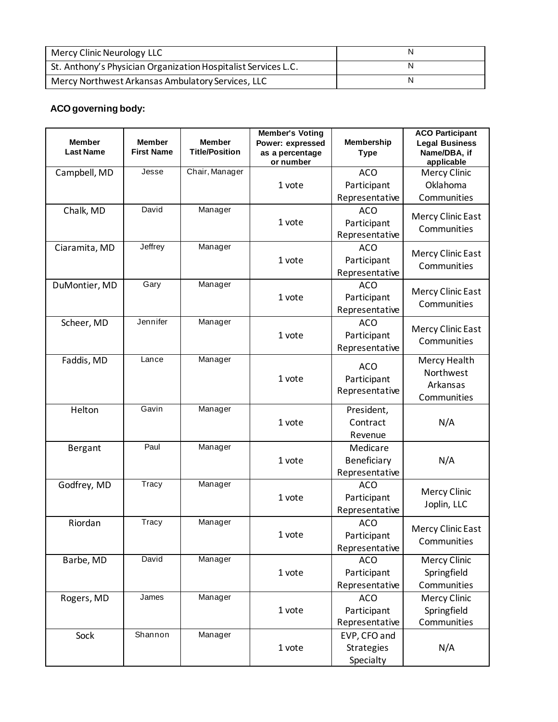| Mercy Clinic Neurology LLC                                     |  |
|----------------------------------------------------------------|--|
| St. Anthony's Physician Organization Hospitalist Services L.C. |  |
| Mercy Northwest Arkansas Ambulatory Services, LLC              |  |

# **ACOgoverning body:**

| <b>Member</b><br><b>Last Name</b> | <b>Member</b><br><b>First Name</b> | <b>Member</b><br><b>Title/Position</b> | <b>Member's Voting</b><br>Power: expressed<br>as a percentage<br>or number | <b>Membership</b><br><b>Type</b>               | <b>ACO Participant</b><br><b>Legal Business</b><br>Name/DBA, if<br>applicable |  |
|-----------------------------------|------------------------------------|----------------------------------------|----------------------------------------------------------------------------|------------------------------------------------|-------------------------------------------------------------------------------|--|
| Campbell, MD                      | Jesse                              | Chair, Manager                         |                                                                            | <b>ACO</b>                                     | <b>Mercy Clinic</b>                                                           |  |
|                                   |                                    |                                        | 1 vote                                                                     | Participant                                    | Oklahoma                                                                      |  |
|                                   |                                    |                                        |                                                                            | Representative                                 | Communities                                                                   |  |
| Chalk, MD                         | David                              | Manager                                | 1 vote                                                                     | <b>ACO</b><br>Participant<br>Representative    | Mercy Clinic East<br>Communities                                              |  |
| Ciaramita, MD                     | Jeffrey                            | Manager                                | 1 vote                                                                     | <b>ACO</b><br>Participant<br>Representative    | Mercy Clinic East<br>Communities                                              |  |
| DuMontier, MD                     | Gary                               | Manager                                | 1 vote                                                                     | <b>ACO</b><br>Participant<br>Representative    | Mercy Clinic East<br>Communities                                              |  |
| Scheer, MD                        | Jennifer                           | Manager                                | 1 vote                                                                     | <b>ACO</b><br>Participant<br>Representative    | Mercy Clinic East<br>Communities                                              |  |
| Faddis, MD                        | Lance                              | Manager                                | 1 vote                                                                     | <b>ACO</b><br>Participant<br>Representative    | Mercy Health<br>Northwest<br>Arkansas<br>Communities                          |  |
| Helton                            | Gavin                              | Manager                                | 1 vote                                                                     | President,<br>Contract<br>Revenue              | N/A                                                                           |  |
| <b>Bergant</b>                    | Paul                               | Manager                                | 1 vote                                                                     | Medicare<br>Beneficiary<br>Representative      | N/A                                                                           |  |
| Godfrey, MD                       | Tracy                              | Manager                                | 1 vote                                                                     | <b>ACO</b><br>Participant<br>Representative    | <b>Mercy Clinic</b><br>Joplin, LLC                                            |  |
| Riordan                           | Tracy                              | Manager                                | 1 vote                                                                     | <b>ACO</b><br>Participant<br>Representative    | <b>Mercy Clinic East</b><br>Communities                                       |  |
| Barbe, MD                         | David                              | Manager                                | 1 vote                                                                     | <b>ACO</b><br>Participant<br>Representative    | <b>Mercy Clinic</b><br>Springfield<br>Communities                             |  |
| Rogers, MD                        | James                              | Manager                                | 1 vote                                                                     | <b>ACO</b><br>Participant<br>Representative    | Mercy Clinic<br>Springfield<br>Communities                                    |  |
| Sock                              | Shannon                            | Manager                                | 1 vote                                                                     | EVP, CFO and<br><b>Strategies</b><br>Specialty | N/A                                                                           |  |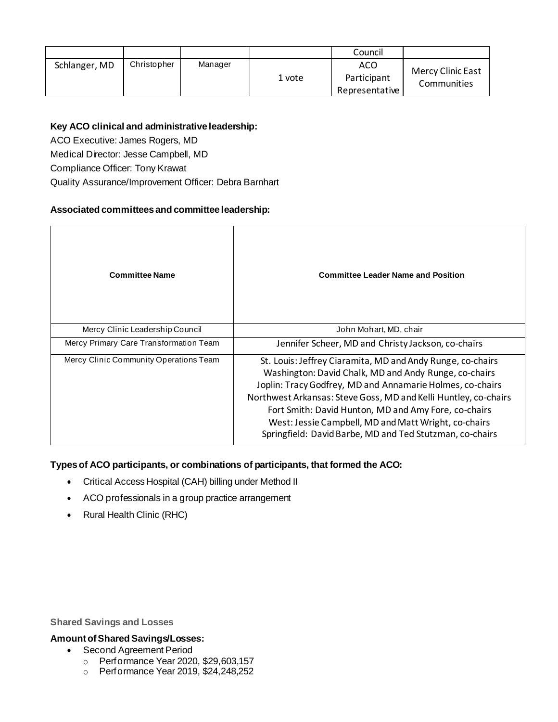|               |             |         |        | Council                              |                                         |
|---------------|-------------|---------|--------|--------------------------------------|-----------------------------------------|
| Schlanger, MD | Christopher | Manager | 1 vote | ACO<br>Participant<br>Representative | <b>Mercy Clinic East</b><br>Communities |

## **Key ACO clinical and administrative leadership:**

ACO Executive: James Rogers, MD

Medical Director: Jesse Campbell, MD

Compliance Officer: Tony Krawat

Quality Assurance/Improvement Officer: Debra Barnhart

#### **Associated committees and committee leadership:**

| <b>Committee Name</b>                  | <b>Committee Leader Name and Position</b>                                                                                                                                                                                                                                                                                                                                                                                       |  |  |
|----------------------------------------|---------------------------------------------------------------------------------------------------------------------------------------------------------------------------------------------------------------------------------------------------------------------------------------------------------------------------------------------------------------------------------------------------------------------------------|--|--|
| Mercy Clinic Leadership Council        | John Mohart, MD, chair                                                                                                                                                                                                                                                                                                                                                                                                          |  |  |
| Mercy Primary Care Transformation Team | Jennifer Scheer, MD and Christy Jackson, co-chairs                                                                                                                                                                                                                                                                                                                                                                              |  |  |
| Mercy Clinic Community Operations Team | St. Louis: Jeffrey Ciaramita, MD and Andy Runge, co-chairs<br>Washington: David Chalk, MD and Andy Runge, co-chairs<br>Joplin: Tracy Godfrey, MD and Annamarie Holmes, co-chairs<br>Northwest Arkansas: Steve Goss, MD and Kelli Huntley, co-chairs<br>Fort Smith: David Hunton, MD and Amy Fore, co-chairs<br>West: Jessie Campbell, MD and Matt Wright, co-chairs<br>Springfield: David Barbe, MD and Ted Stutzman, co-chairs |  |  |

## **Typesof ACO participants, or combinations of participants, that formed the ACO:**

- Critical Access Hospital (CAH) billing under Method II
- ACO professionals in a group practice arrangement
- Rural Health Clinic (RHC)

**Shared Savings and Losses**

### **AmountofSharedSavings/Losses:**

- Second Agreement Period
	- o Performance Year 2020, \$29,603,157
	- o Performance Year 2019, \$24,248,252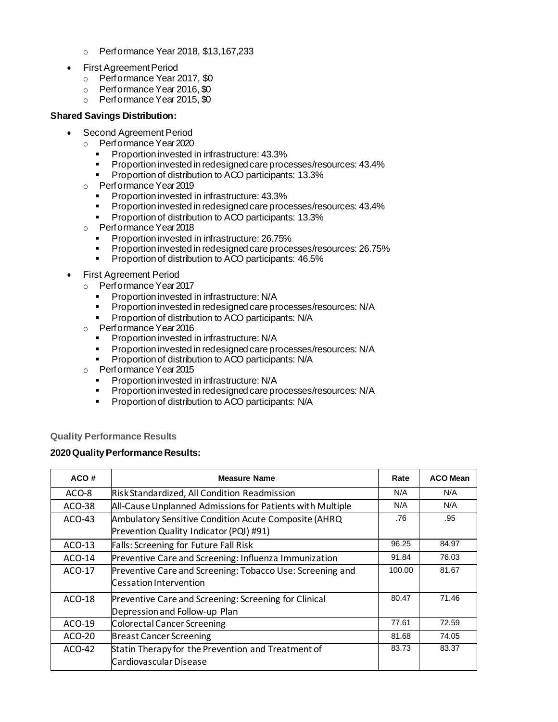- o Performance Year 2018, \$13,167,233
- **First Agreement Period** 
	- o Performance Year 2017, \$0
	- o Performance Year 2016, \$0
	- o Performance Year 2015, \$0

#### **Shared Savings Distribution:**

- Second Agreement Period
	- o PerformanceYear2020
		- Proportion invested in infrastructure: 43.3%<br>■ Proportion invested in redesigned care proc
		- Proportion invested in redesigned care processes/resources: 43.4%
		- Proportion of distribution to ACO participants: 13.3%
	- o PerformanceYear2019
		- Proportion invested in infrastructure: 43.3%
		- Proportion invested in redesigned care processes/resources: 43.4%
		- Proportion of distribution to ACO participants: 13.3%
	- o PerformanceYear2018
		- Proportion invested in infrastructure: 26.75%
		- Proportion invested in redesigned care processes/resources: 26.75%
		- **•** Proportion of distribution to ACO participants: 46.5%
- **First Agreement Period** 
	- o PerformanceYear2017
		- Proportion invested in infrastructure: N/A
		- Proportion invested in redesigned care processes/resources: N/A
		- Proportion of distribution to ACO participants: N/A
	- o PerformanceYear2016
		- Proportion invested in infrastructure: N/A
		- **•** Proportion invested in redesigned care processes/resources: N/A
		- Proportion of distribution to ACO participants: N/A
	- o Performance Year 2015
		- **•** Proportion invested in infrastructure: N/A
		- Proportion invested in redesigned care processes/resources: N/A
		- Proportion of distribution to ACO participants: N/A

**Quality Performance Results**

#### **2020QualityPerformance Results:**

| ACO#     | <b>Measure Name</b>                                                                             | Rate   | <b>ACO Mean</b> |
|----------|-------------------------------------------------------------------------------------------------|--------|-----------------|
| ACO-8    | Risk Standardized, All Condition Readmission                                                    | N/A    | N/A             |
| ACO-38   | All-Cause Unplanned Admissions for Patients with Multiple                                       | N/A    | N/A             |
| $ACO-43$ | Ambulatory Sensitive Condition Acute Composite (AHRQ<br>Prevention Quality Indicator (PQI) #91) | .76    | .95             |
| ACO-13   | Falls: Screening for Future Fall Risk                                                           | 96.25  | 84.97           |
| ACO-14   | Preventive Care and Screening: Influenza Immunization                                           | 91.84  | 76.03           |
| $ACO-17$ | Preventive Care and Screening: Tobacco Use: Screening and<br><b>Cessation Intervention</b>      | 100.00 | 81.67           |
| ACO-18   | Preventive Care and Screening: Screening for Clinical<br>Depression and Follow-up Plan          | 80.47  | 71.46           |
| ACO-19   | <b>Colorectal Cancer Screening</b>                                                              | 77.61  | 72.59           |
| ACO-20   | <b>Breast Cancer Screening</b>                                                                  | 81.68  | 74.05           |
| $ACO-42$ | Statin Therapy for the Prevention and Treatment of<br>Cardiovascular Disease                    | 83.73  | 83.37           |